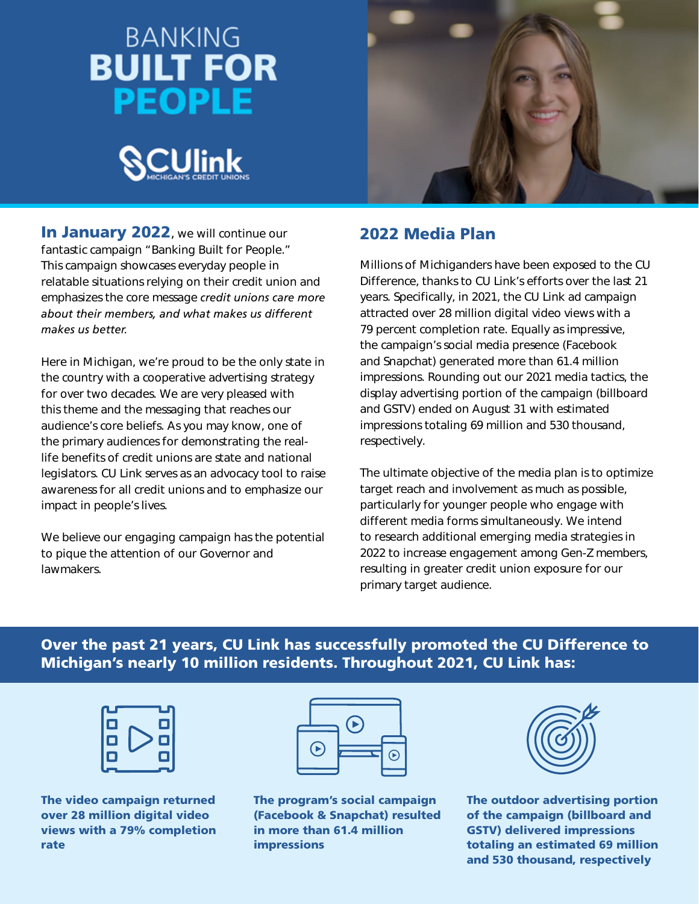# **BANKING BUILT FOR PEOPLE**





In January 2022, we will continue our fantastic campaign "Banking Built for People." This campaign showcases everyday people in relatable situations relying on their credit union and emphasizes the core message *credit unions care more about their members, and what makes us different makes us better.*

Here in Michigan, we're proud to be the only state in the country with a cooperative advertising strategy for over two decades. We are very pleased with this theme and the messaging that reaches our audience's core beliefs. As you may know, one of the primary audiences for demonstrating the reallife benefits of credit unions are state and national legislators. CU Link serves as an advocacy tool to raise awareness for all credit unions and to emphasize our impact in people's lives.

We believe our engaging campaign has the potential to pique the attention of our Governor and lawmakers.

# 2022 Media Plan

Millions of Michiganders have been exposed to the CU Difference, thanks to CU Link's efforts over the last 21 years. Specifically, in 2021, the CU Link ad campaign attracted over 28 million digital video views with a 79 percent completion rate. Equally as impressive, the campaign's social media presence (Facebook and Snapchat) generated more than 61.4 million impressions. Rounding out our 2021 media tactics, the display advertising portion of the campaign (billboard and GSTV) ended on August 31 with estimated impressions totaling 69 million and 530 thousand, respectively.

The ultimate objective of the media plan is to optimize target reach and involvement as much as possible, particularly for younger people who engage with different media forms simultaneously. We intend to research additional emerging media strategies in 2022 to increase engagement among Gen-Z members, resulting in greater credit union exposure for our primary target audience.

Over the past 21 years, CU Link has successfully promoted the CU Difference to Michigan's nearly 10 million residents. Throughout 2021, CU Link has:



The video campaign returned over 28 million digital video views with a 79% completion rate



The program's social campaign (Facebook & Snapchat) resulted in more than 61.4 million impressions



The outdoor advertising portion of the campaign (billboard and GSTV) delivered impressions totaling an estimated 69 million and 530 thousand, respectively